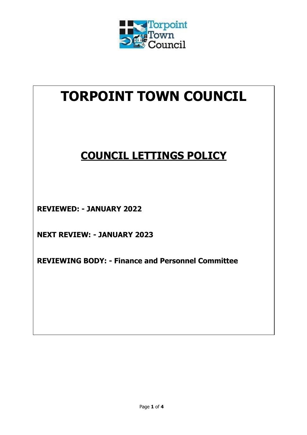

# **TORPOINT TOWN COUNCIL**

# **COUNCIL LETTINGS POLICY**

**REVIEWED: - JANUARY 2022**

**NEXT REVIEW: - JANUARY 2023**

**REVIEWING BODY: - Finance and Personnel Committee**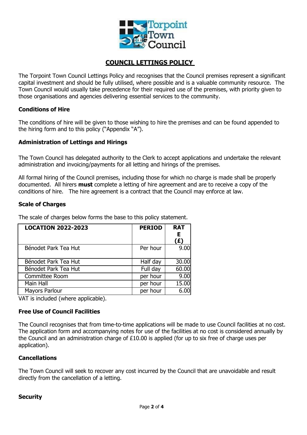

# **COUNCIL LETTINGS POLICY**

The Torpoint Town Council Lettings Policy and recognises that the Council premises represent a significant capital investment and should be fully utilised, where possible and is a valuable community resource. The Town Council would usually take precedence for their required use of the premises, with priority given to those organisations and agencies delivering essential services to the community.

# **Conditions of Hire**

The conditions of hire will be given to those wishing to hire the premises and can be found appended to the hiring form and to this policy ("Appendix "A").

# **Administration of Lettings and Hirings**

The Town Council has delegated authority to the Clerk to accept applications and undertake the relevant administration and invoicing/payments for all letting and hirings of the premises.

All formal hiring of the Council premises, including those for which no charge is made shall be properly documented. All hirers **must** complete a letting of hire agreement and are to receive a copy of the conditions of hire. The hire agreement is a contract that the Council may enforce at law.

# **Scale of Charges**

The scale of charges below forms the base to this policy statement.

| <b>LOCATION 2022-2023</b> | <b>PERIOD</b> | <b>RAT</b><br>Е<br>(£) |
|---------------------------|---------------|------------------------|
| Bénodet Park Tea Hut      | Per hour      | 9.00                   |
| Bénodet Park Tea Hut      | Half day      | 30.00                  |
| Bénodet Park Tea Hut      | Full day      | 60.00                  |
| Committee Room            | per hour      | 9.00                   |
| Main Hall                 | per hour      | 15.00                  |
| <b>Mayors Parlour</b>     | per hour      | 6.00                   |

VAT is included (where applicable).

#### **Free Use of Council Facilities**

The Council recognises that from time-to-time applications will be made to use Council facilities at no cost. The application form and accompanying notes for use of the facilities at no cost is considered annually by the Council and an administration charge of £10.00 is applied (for up to six free of charge uses per application).

#### **Cancellations**

The Town Council will seek to recover any cost incurred by the Council that are unavoidable and result directly from the cancellation of a letting.

#### **Security**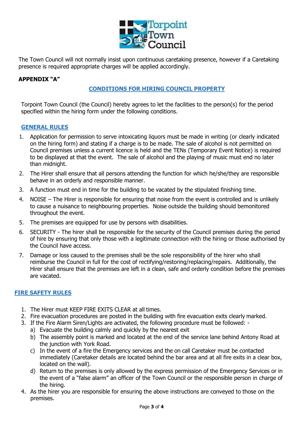

The Town Council will not normally insist upon continuous caretaking presence, however if a Caretaking presence is required appropriate charges will be applied accordingly.

# **APPENDIX "A"**

# **CONDITIONS FOR HIRING COUNCIL PROPERTY**

Torpoint Town Council (the Council) hereby agrees to let the facilities to the person(s) for the period specified within the hiring form under the following conditions.

# **GENERAL RULES**

- 1. Application for permission to serve intoxicating liquors must be made in writing (or clearly indicated on the hiring form) and stating if a charge is to be made. The sale of alcohol is not permitted on Council premises unless a current licence is held and the TENs (Temporary Event Notice) is required to be displayed at that the event. The sale of alcohol and the playing of music must end no later than midnight.
- 2. The Hirer shall ensure that all persons attending the function for which he/she/they are responsible behave in an orderly and responsible manner.
- 3. A function must end in time for the building to be vacated by the stipulated finishing time.
- 4. NOISE The Hirer is responsible for ensuring that noise from the event is controlled and is unlikely to cause a nuisance to neighbouring properties. Noise outside the building should bemonitored throughout the event.
- 5. The premises are equipped for use by persons with disabilities.
- 6. SECURITY The hirer shall be responsible for the security of the Council premises during the period of hire by ensuring that only those with a legitimate connection with the hiring or those authorised by the Council have access.
- 7. Damage or loss caused to the premises shall be the sole responsibility of the hirer who shall reimburse the Council in full for the cost of rectifying/restoring/replacing/repairs. Additionally, the Hirer shall ensure that the premises are left in a clean, safe and orderly condition before the premises are vacated.

# **FIRE SAFETY RULES**

- 1. The Hirer must KEEP FIRE EXITS CLEAR at all times.
- 2. Fire evacuation procedures are posted in the building with fire evacuation exits clearly marked.
- 3. If the Fire Alarm Siren/Lights are activated, the following procedure must be followed:
	- a) Evacuate the building calmly and quickly by the nearest exit
	- b) The assembly point is marked and located at the end of the service lane behind Antony Road at the junction with York Road.
	- c) In the event of a fire the Emergency services and the on call Caretaker must be contacted immediately (Caretaker details are located behind the bar area and at all fire exits in a clear box, located on the wall).
	- d) Return to the premises is only allowed by the express permission of the Emergency Services or in the event of a "false alarm" an officer of the Town Council or the responsible person in charge of the hiring.
- 4. As the hirer you are responsible for ensuring the above instructions are conveyed to those on the premises.